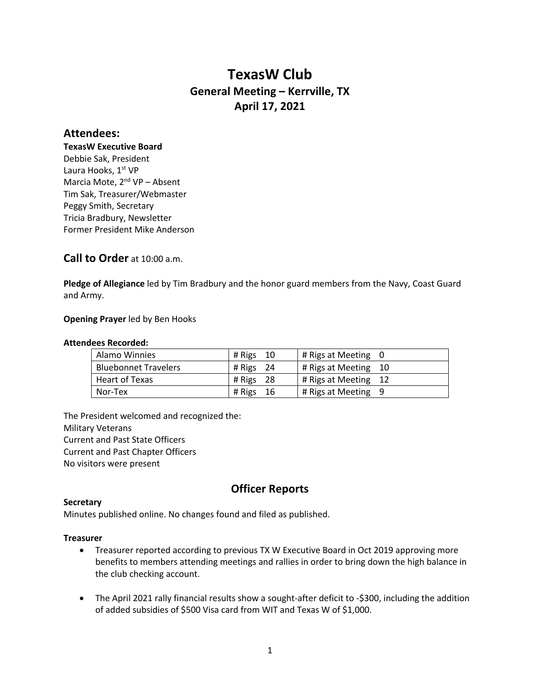# **TexasW Club General Meeting – Kerrville, TX April 17, 2021**

# **Attendees:**

**TexasW Executive Board** Debbie Sak, President Laura Hooks, 1st VP Marcia Mote, 2<sup>nd</sup> VP - Absent Tim Sak, Treasurer/Webmaster Peggy Smith, Secretary Tricia Bradbury, Newsletter Former President Mike Anderson

# **Call to Order** at 10:00 a.m.

**Pledge of Allegiance** led by Tim Bradbury and the honor guard members from the Navy, Coast Guard and Army.

# **Opening Prayer** led by Ben Hooks

# **Attendees Recorded:**

| Alamo Winnies               | # Rigs $10$    | # Rigs at Meeting 0  |
|-----------------------------|----------------|----------------------|
| <b>Bluebonnet Travelers</b> | # Rigs $24$    | # Rigs at Meeting 10 |
| Heart of Texas              | - 28<br># Rigs | # Rigs at Meeting 12 |
| Nor-Tex                     | # Rigs<br>-16  | # Rigs at Meeting 9  |

The President welcomed and recognized the: Military Veterans Current and Past State Officers Current and Past Chapter Officers No visitors were present

# **Officer Reports**

# **Secretary**

Minutes published online. No changes found and filed as published.

# **Treasurer**

- Treasurer reported according to previous TX W Executive Board in Oct 2019 approving more benefits to members attending meetings and rallies in order to bring down the high balance in the club checking account.
- The April 2021 rally financial results show a sought-after deficit to -\$300, including the addition of added subsidies of \$500 Visa card from WIT and Texas W of \$1,000.